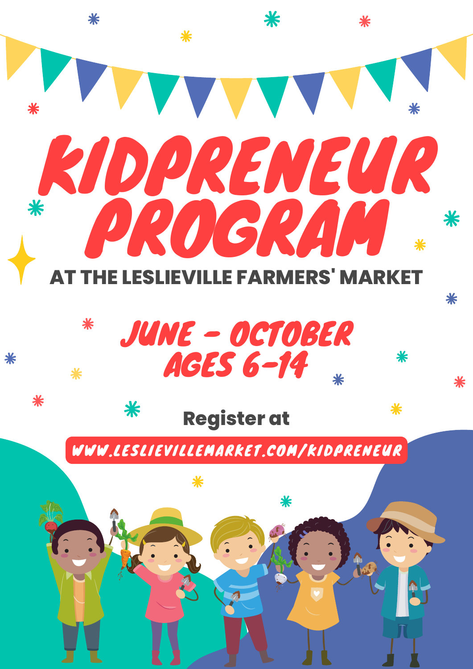

JUNE - OCTOBER